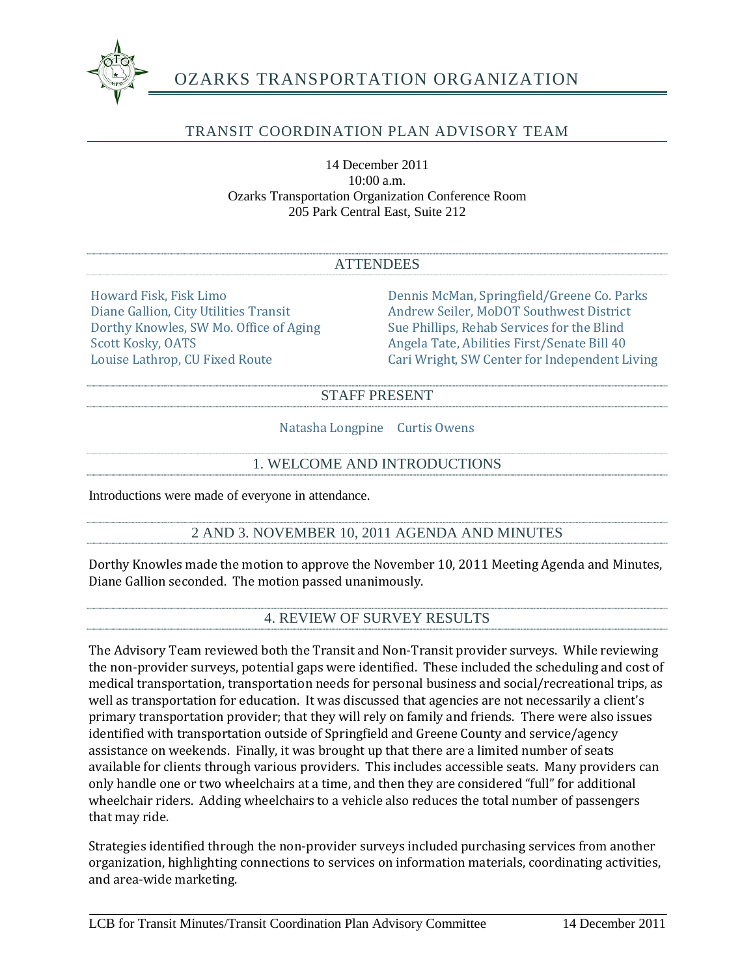

# OZARKS TRANSPORTATION ORGANIZATION

# TRANSIT COORDINATION PLAN ADVISORY TEAM

14 December 2011 10:00 a.m. Ozarks Transportation Organization Conference Room 205 Park Central East, Suite 212

| <b>ATTENDEES</b>                                                                                                                                                                                                                    |
|-------------------------------------------------------------------------------------------------------------------------------------------------------------------------------------------------------------------------------------|
| Dennis McMan, Springfield/Greene Co. Parks<br>Andrew Seiler, MoDOT Southwest District<br>Sue Phillips, Rehab Services for the Blind<br>Angela Tate, Abilities First/Senate Bill 40<br>Cari Wright, SW Center for Independent Living |
| <b>STAFF PRESENT</b>                                                                                                                                                                                                                |
| Natasha Longpine Curtis Owens                                                                                                                                                                                                       |
| 1. WELCOME AND INTRODUCTIONS                                                                                                                                                                                                        |
|                                                                                                                                                                                                                                     |

Introductions were made of everyone in attendance.

## 2 AND 3. NOVEMBER 10, 2011 AGENDA AND MINUTES

Dorthy Knowles made the motion to approve the November 10, 2011 Meeting Agenda and Minutes, Diane Gallion seconded. The motion passed unanimously.

#### 4. REVIEW OF SURVEY RESULTS

The Advisory Team reviewed both the Transit and Non-Transit provider surveys. While reviewing the non-provider surveys, potential gaps were identified. These included the scheduling and cost of medical transportation, transportation needs for personal business and social/recreational trips, as well as transportation for education. It was discussed that agencies are not necessarily a client's primary transportation provider; that they will rely on family and friends. There were also issues identified with transportation outside of Springfield and Greene County and service/agency assistance on weekends. Finally, it was brought up that there are a limited number of seats available for clients through various providers. This includes accessible seats. Many providers can only handle one or two wheelchairs at a time, and then they are considered "full" for additional wheelchair riders. Adding wheelchairs to a vehicle also reduces the total number of passengers that may ride.

Strategies identified through the non-provider surveys included purchasing services from another organization, highlighting connections to services on information materials, coordinating activities, and area-wide marketing.